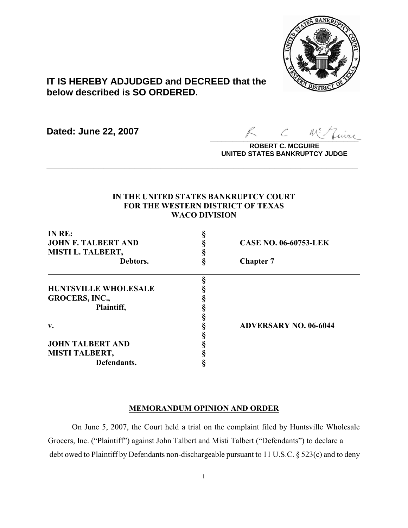

# **IT IS HEREBY ADJUDGED and DECREED that the below described is SO ORDERED.**

**Dated: June 22, 2007**

 $\sim$  more

**ROBERT C. MCGUIRE UNITED STATES BANKRUPTCY JUDGE**

## **IN THE UNITED STATES BANKRUPTCY COURT FOR THE WESTERN DISTRICT OF TEXAS WACO DIVISION**

**\_\_\_\_\_\_\_\_\_\_\_\_\_\_\_\_\_\_\_\_\_\_\_\_\_\_\_\_\_\_\_\_\_\_\_\_\_\_\_\_\_\_\_\_\_\_\_\_\_\_\_\_\_\_\_\_\_\_\_\_**

| IN RE:<br><b>JOHN F. TALBERT AND</b><br><b>MISTI L. TALBERT,</b><br>Debtors. | <b>CASE NO. 06-60753-LEK</b><br><b>Chapter 7</b> |                             |  |
|------------------------------------------------------------------------------|--------------------------------------------------|-----------------------------|--|
|                                                                              |                                                  |                             |  |
|                                                                              |                                                  | <b>HUNTSVILLE WHOLESALE</b> |  |
|                                                                              |                                                  | <b>GROCERS, INC.,</b>       |  |
| Plaintiff,                                                                   |                                                  |                             |  |
|                                                                              |                                                  |                             |  |
| v.                                                                           | <b>ADVERSARY NO. 06-6044</b>                     |                             |  |
|                                                                              |                                                  |                             |  |
| <b>JOHN TALBERT AND</b>                                                      |                                                  |                             |  |
| <b>MISTI TALBERT,</b>                                                        |                                                  |                             |  |
| Defendants.                                                                  |                                                  |                             |  |

#### **MEMORANDUM OPINION AND ORDER**

On June 5, 2007, the Court held a trial on the complaint filed by Huntsville Wholesale Grocers, Inc. ("Plaintiff") against John Talbert and Misti Talbert ("Defendants") to declare a debt owed to Plaintiff by Defendants non-dischargeable pursuant to 11 U.S.C. § 523(c) and to deny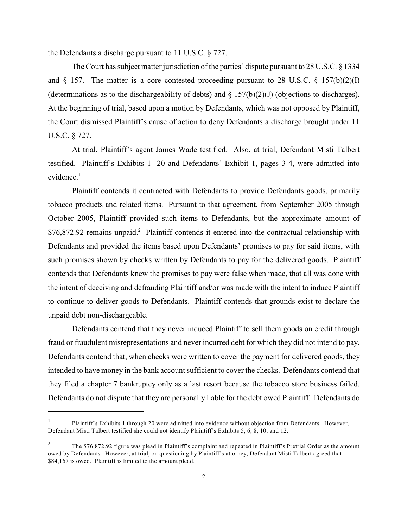the Defendants a discharge pursuant to 11 U.S.C. § 727.

The Court has subject matter jurisdiction of the parties' dispute pursuant to 28 U.S.C. § 1334 and  $\S$  157. The matter is a core contested proceeding pursuant to 28 U.S.C.  $\S$  157(b)(2)(I) (determinations as to the dischargeability of debts) and  $\S$  157(b)(2)(J) (objections to discharges). At the beginning of trial, based upon a motion by Defendants, which was not opposed by Plaintiff, the Court dismissed Plaintiff's cause of action to deny Defendants a discharge brought under 11 U.S.C. § 727.

At trial, Plaintiff's agent James Wade testified. Also, at trial, Defendant Misti Talbert testified. Plaintiff's Exhibits 1 -20 and Defendants' Exhibit 1, pages 3-4, were admitted into evidence.<sup>1</sup>

Plaintiff contends it contracted with Defendants to provide Defendants goods, primarily tobacco products and related items. Pursuant to that agreement, from September 2005 through October 2005, Plaintiff provided such items to Defendants, but the approximate amount of \$76,872.92 remains unpaid.<sup>2</sup> Plaintiff contends it entered into the contractual relationship with Defendants and provided the items based upon Defendants' promises to pay for said items, with such promises shown by checks written by Defendants to pay for the delivered goods. Plaintiff contends that Defendants knew the promises to pay were false when made, that all was done with the intent of deceiving and defrauding Plaintiff and/or was made with the intent to induce Plaintiff to continue to deliver goods to Defendants. Plaintiff contends that grounds exist to declare the unpaid debt non-dischargeable.

Defendants contend that they never induced Plaintiff to sell them goods on credit through fraud or fraudulent misrepresentations and never incurred debt for which they did not intend to pay. Defendants contend that, when checks were written to cover the payment for delivered goods, they intended to have money in the bank account sufficient to cover the checks. Defendants contend that they filed a chapter 7 bankruptcy only as a last resort because the tobacco store business failed. Defendants do not dispute that they are personally liable for the debt owed Plaintiff. Defendants do

Plaintiff's Exhibits 1 through 20 were admitted into evidence without objection from Defendants. However, 1 Defendant Misti Talbert testified she could not identify Plaintiff's Exhibits 5, 6, 8, 10, and 12.

The \$76,872.92 figure was plead in Plaintiff's complaint and repeated in Plaintiff's Pretrial Order as the amount <sup>2</sup> owed by Defendants. However, at trial, on questioning by Plaintiff's attorney, Defendant Misti Talbert agreed that \$84,167 is owed. Plaintiff is limited to the amount plead.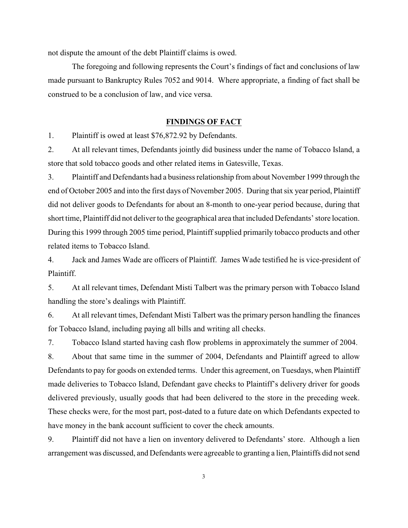not dispute the amount of the debt Plaintiff claims is owed.

The foregoing and following represents the Court's findings of fact and conclusions of law made pursuant to Bankruptcy Rules 7052 and 9014. Where appropriate, a finding of fact shall be construed to be a conclusion of law, and vice versa.

#### **FINDINGS OF FACT**

1. Plaintiff is owed at least \$76,872.92 by Defendants.

2. At all relevant times, Defendants jointly did business under the name of Tobacco Island, a store that sold tobacco goods and other related items in Gatesville, Texas.

3. Plaintiff and Defendants had a business relationship from about November 1999 through the end of October 2005 and into the first days of November 2005. During that six year period, Plaintiff did not deliver goods to Defendants for about an 8-month to one-year period because, during that short time, Plaintiff did not deliver to the geographical area that included Defendants' store location. During this 1999 through 2005 time period, Plaintiff supplied primarily tobacco products and other related items to Tobacco Island.

4. Jack and James Wade are officers of Plaintiff. James Wade testified he is vice-president of Plaintiff.

5. At all relevant times, Defendant Misti Talbert was the primary person with Tobacco Island handling the store's dealings with Plaintiff.

6. At all relevant times, Defendant Misti Talbert was the primary person handling the finances for Tobacco Island, including paying all bills and writing all checks.

7. Tobacco Island started having cash flow problems in approximately the summer of 2004.

8. About that same time in the summer of 2004, Defendants and Plaintiff agreed to allow Defendants to pay for goods on extended terms. Under this agreement, on Tuesdays, when Plaintiff made deliveries to Tobacco Island, Defendant gave checks to Plaintiff's delivery driver for goods delivered previously, usually goods that had been delivered to the store in the preceding week. These checks were, for the most part, post-dated to a future date on which Defendants expected to have money in the bank account sufficient to cover the check amounts.

9. Plaintiff did not have a lien on inventory delivered to Defendants' store. Although a lien arrangement was discussed, and Defendants were agreeable to granting a lien, Plaintiffs did not send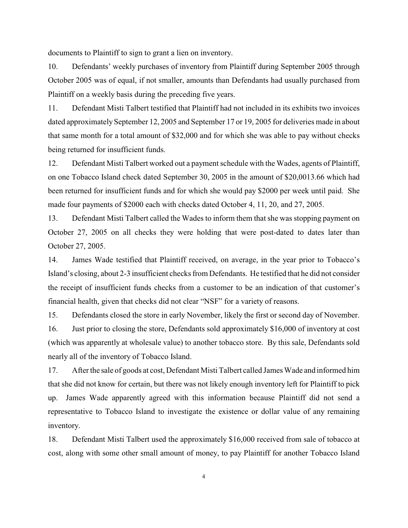documents to Plaintiff to sign to grant a lien on inventory.

10. Defendants' weekly purchases of inventory from Plaintiff during September 2005 through October 2005 was of equal, if not smaller, amounts than Defendants had usually purchased from Plaintiff on a weekly basis during the preceding five years.

11. Defendant Misti Talbert testified that Plaintiff had not included in its exhibits two invoices dated approximately September 12, 2005 and September 17 or 19, 2005 for deliveries made in about that same month for a total amount of \$32,000 and for which she was able to pay without checks being returned for insufficient funds.

12. Defendant Misti Talbert worked out a payment schedule with the Wades, agents of Plaintiff, on one Tobacco Island check dated September 30, 2005 in the amount of \$20,0013.66 which had been returned for insufficient funds and for which she would pay \$2000 per week until paid. She made four payments of \$2000 each with checks dated October 4, 11, 20, and 27, 2005.

13. Defendant Misti Talbert called the Wades to inform them that she was stopping payment on October 27, 2005 on all checks they were holding that were post-dated to dates later than October 27, 2005.

14. James Wade testified that Plaintiff received, on average, in the year prior to Tobacco's Island's closing, about 2-3 insufficient checks from Defendants. He testified that he did not consider the receipt of insufficient funds checks from a customer to be an indication of that customer's financial health, given that checks did not clear "NSF" for a variety of reasons.

15. Defendants closed the store in early November, likely the first or second day of November. 16. Just prior to closing the store, Defendants sold approximately \$16,000 of inventory at cost (which was apparently at wholesale value) to another tobacco store. By this sale, Defendants sold nearly all of the inventory of Tobacco Island.

17. After the sale of goods at cost, Defendant Misti Talbert called James Wade and informed him that she did not know for certain, but there was not likely enough inventory left for Plaintiff to pick up. James Wade apparently agreed with this information because Plaintiff did not send a representative to Tobacco Island to investigate the existence or dollar value of any remaining inventory.

18. Defendant Misti Talbert used the approximately \$16,000 received from sale of tobacco at cost, along with some other small amount of money, to pay Plaintiff for another Tobacco Island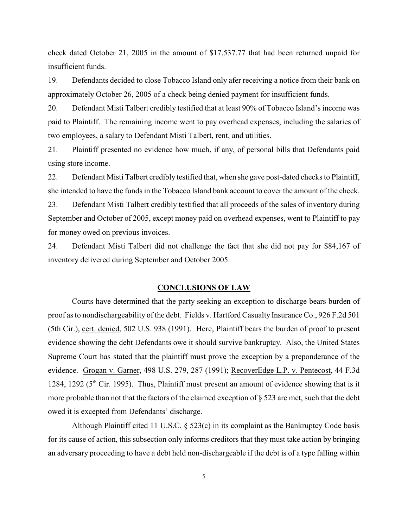check dated October 21, 2005 in the amount of \$17,537.77 that had been returned unpaid for insufficient funds.

19. Defendants decided to close Tobacco Island only afer receiving a notice from their bank on approximately October 26, 2005 of a check being denied payment for insufficient funds.

20. Defendant Misti Talbert credibly testified that at least 90% of Tobacco Island's income was paid to Plaintiff. The remaining income went to pay overhead expenses, including the salaries of two employees, a salary to Defendant Misti Talbert, rent, and utilities.

21. Plaintiff presented no evidence how much, if any, of personal bills that Defendants paid using store income.

22. Defendant Misti Talbert credibly testified that, when she gave post-dated checks to Plaintiff, she intended to have the funds in the Tobacco Island bank account to cover the amount of the check.

23. Defendant Misti Talbert credibly testified that all proceeds of the sales of inventory during September and October of 2005, except money paid on overhead expenses, went to Plaintiff to pay for money owed on previous invoices.

24. Defendant Misti Talbert did not challenge the fact that she did not pay for \$84,167 of inventory delivered during September and October 2005.

#### **CONCLUSIONS OF LAW**

Courts have determined that the party seeking an exception to discharge bears burden of proof as to nondischargeability of the debt. Fields v. Hartford Casualty Insurance Co., 926 F.2d 501 (5th Cir.), cert. denied, 502 U.S. 938 (1991). Here, Plaintiff bears the burden of proof to present evidence showing the debt Defendants owe it should survive bankruptcy. Also, the United States Supreme Court has stated that the plaintiff must prove the exception by a preponderance of the evidence. Grogan v. Garner, 498 U.S. 279, 287 (1991); RecoverEdge L.P. v. Pentecost, 44 F.3d 1284, 1292 ( $5<sup>th</sup>$  Cir. 1995). Thus, Plaintiff must present an amount of evidence showing that is it more probable than not that the factors of the claimed exception of § 523 are met, such that the debt owed it is excepted from Defendants' discharge.

Although Plaintiff cited 11 U.S.C. § 523(c) in its complaint as the Bankruptcy Code basis for its cause of action, this subsection only informs creditors that they must take action by bringing an adversary proceeding to have a debt held non-dischargeable if the debt is of a type falling within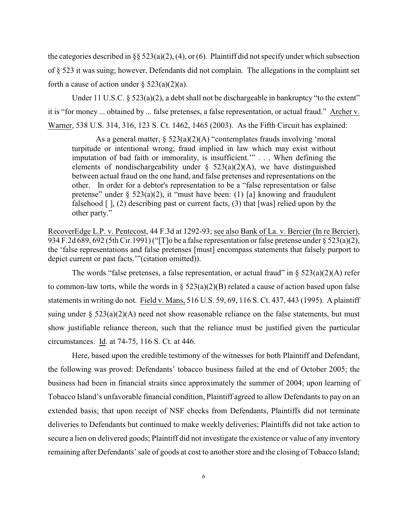the categories described in §§ 523(a)(2), (4), or (6). Plaintiff did not specify under which subsection of § 523 it was suing; however, Defendants did not complain. The allegations in the complaint set forth a cause of action under  $\S$  523(a)(2)(a).

Under 11 U.S.C. § 523(a)(2), a debt shall not be dischargeable in bankruptcy "to the extent" it is "for money ... obtained by ... false pretenses, a false representation, or actual fraud." Archer v. Warner, 538 U.S. 314, 316, 123 S. Ct. 1462, 1465 (2003). As the Fifth Circuit has explained:

As a general matter,  $\S$  523(a)(2)(A) "contemplates frauds involving 'moral turpitude or intentional wrong; fraud implied in law which may exist without imputation of bad faith or immorality, is insufficient.'" . . . When defining the elements of nondischargeability under  $\S$  523(a)(2)(A), we have distinguished between actual fraud on the one hand, and false pretenses and representations on the other. In order for a debtor's representation to be a "false representation or false pretense" under  $\S$  523(a)(2), it "must have been: (1) [a] knowing and fraudulent falsehood  $\lceil \cdot \rceil$ , (2) describing past or current facts, (3) that [was] relied upon by the other party."

RecoverEdge L.P. v. Pentecost, 44 F.3d at 1292-93; see also Bank of La. v. Bercier (In re Bercier), 934 F.2d 689, 692 (5th Cir.1991) ("[T]o be a false representation or false pretense under § 523(a)(2), the 'false representations and false pretenses [must] encompass statements that falsely purport to depict current or past facts.'"(citation omitted)).

The words "false pretenses, a false representation, or actual fraud" in  $\S$  523(a)(2)(A) refer to common-law torts, while the words in  $\S$  523(a)(2)(B) related a cause of action based upon false statements in writing do not. Field v. Mans, 516 U.S. 59, 69, 116 S. Ct. 437, 443 (1995). A plaintiff suing under  $\S$  523(a)(2)(A) need not show reasonable reliance on the false statements, but must show justifiable reliance thereon, such that the reliance must be justified given the particular circumstances. Id. at 74-75, 116 S. Ct. at 446.

Here, based upon the credible testimony of the witnesses for both Plaintiff and Defendant, the following was proved: Defendants' tobacco business failed at the end of October 2005; the business had been in financial straits since approximately the summer of 2004; upon learning of Tobacco Island's unfavorable financial condition, Plaintiff agreed to allow Defendants to pay on an extended basis; that upon receipt of NSF checks from Defendants, Plaintiffs did not terminate deliveries to Defendants but continued to make weekly deliveries; Plaintiffs did not take action to secure a lien on delivered goods; Plaintiff did not investigate the existence or value of any inventory remaining after Defendants' sale of goods at cost to another store and the closing of Tobacco Island;